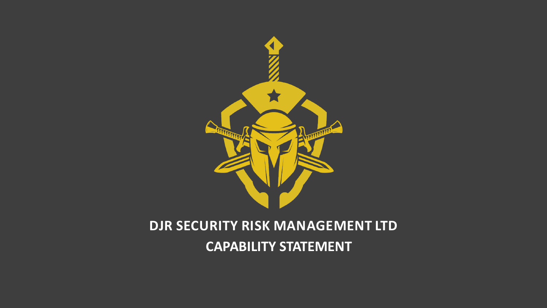

### **DJR SECURITY RISK MANAGEMENT LTD CAPABILITY STATEMENT**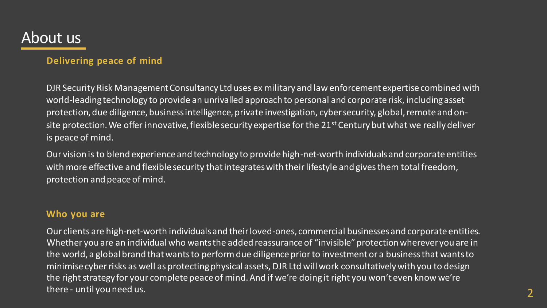### About us

#### **Delivering peace of mind**

DJR Security Risk Management Consultancy Ltd uses ex military and law enforcement expertise combined with world-leading technology to provide an unrivalled approach to personal and corporate risk, including asset protection, due diligence, business intelligence, private investigation, cyber security, global, remote and onsite protection. We offer innovative, flexible security expertise for the 21<sup>st</sup> Century but what we really deliver is peace of mind.

Our vision is to blend experience and technology to provide high-net-worth individuals and corporate entities with more effective and flexible security that integrates with their lifestyle and gives them total freedom, protection and peace of mind.

#### **Who you are**

Our clients are high-net-worth individuals and their loved-ones, commercial businesses and corporate entities. Whether you are an individual who wants the added reassurance of "invisible" protection wherever you are in the world, a global brand that wants to perform due diligence prior to investment or a business that wants to minimise cyber risks as well as protecting physical assets, DJR Ltd will work consultatively with you to design the right strategy for your complete peace of mind. And if we're doing it right you won't even know we're there - until you need us. 2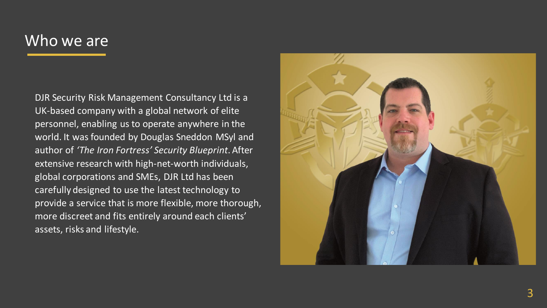### Who we are

DJR Security Risk Management Consultancy Ltd is a UK-based company with a global network of elite personnel, enabling us to operate anywhere in the world. It was founded by Douglas Sneddon MSyl and author of *'The Iron Fortress' Security Blueprint*. After extensive research with high-net-worth individuals, global corporations and SMEs, DJR Ltd has been carefully designed to use the latest technology to provide a service that is more flexible, more thorough, more discreet and fits entirely around each clients' assets, risks and lifestyle.

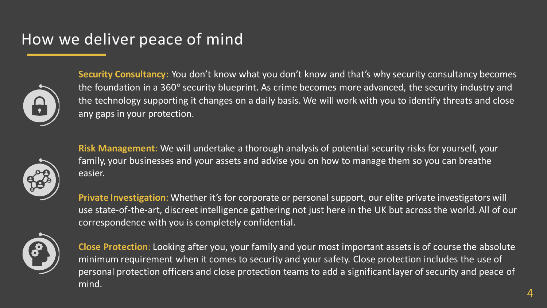# How we deliver peace of mind



**Security Consultancy**: You don't know what you don't know and that's why security consultancy becomes the foundation in a 360° security blueprint. As crime becomes more advanced, the security industry and the technology supporting it changes on a daily basis. We will work with you to identify threats and close any gaps in your protection.



**Risk Management**: We will undertake a thorough analysis of potential security risks for yourself, your family, your businesses and your assets and advise you on how to manage them so you can breathe easier.

**Private Investigation**: Whether it's for corporate or personal support, our elite private investigators will use state-of-the-art, discreet intelligence gathering not just here in the UK but across the world. All of our correspondence with you is completely confidential.



**Close Protection**: Looking after you, your family and your most important assets is of course the absolute minimum requirement when it comes to security and your safety. Close protection includes the use of personal protection officers and close protection teams to add a significant layer of security and peace of mind.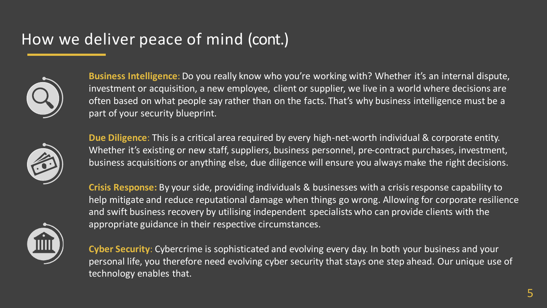# How we deliver peace of mind (cont.)



**Business Intelligence**: Do you really know who you're working with? Whether it's an internal dispute, investment or acquisition, a new employee, client or supplier, we live in a world where decisions are often based on what people say rather than on the facts. That's why business intelligence must be a part of your security blueprint.



**Due Diligence**: This is a critical area required by every high-net-worth individual & corporate entity. Whether it's existing or new staff, suppliers, business personnel, pre-contract purchases, investment, business acquisitions or anything else, due diligence will ensure you always make the right decisions.

**Crisis Response:** By your side, providing individuals & businesses with a crisis response capability to help mitigate and reduce reputational damage when things go wrong. Allowing for corporate resilience and swift business recovery by utilising independent specialists who can provide clients with the appropriate guidance in their respective circumstances.



**Cyber Security**: Cybercrime is sophisticated and evolving every day. In both your business and your personal life, you therefore need evolving cyber security that stays one step ahead. Our unique use of technology enables that.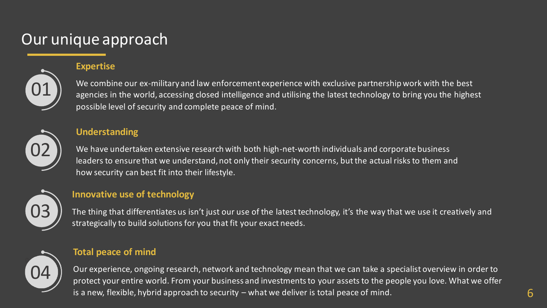## Our unique approach

#### **Expertise**



We combine our ex-military and law enforcement experience with exclusive partnership work with the best agencies in the world, accessing closed intelligence and utilising the latest technology to bring you the highest possible level of security and complete peace of mind.



#### **Understanding**

We have undertaken extensive research with both high-net-worth individuals and corporate business leaders to ensure that we understand, not only their security concerns, but the actual risks to them and how security can best fit into their lifestyle.



#### **Innovative use of technology**

The thing that differentiates us isn't just our use of the latest technology, it's the way that we use it creatively and strategically to build solutions for you that fit your exact needs.



#### **Total peace of mind**

Our experience, ongoing research, network and technology mean that we can take a specialist overview in order to protect your entire world. From your business and investments to your assets to the people you love. What we offer is a new, flexible, hybrid approach to security – what we deliver is total peace of mind.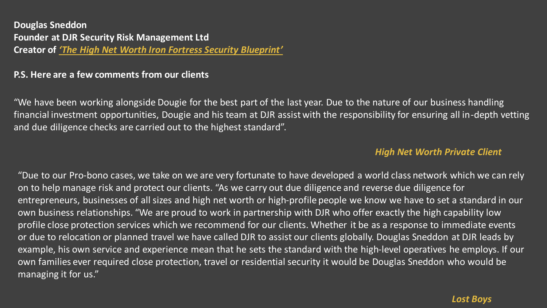**Douglas Sneddon Founder at DJR Security Risk Management Ltd Creator of** *'The High Net Worth Iron Fortress Security Blueprint'*

#### **P.S. Here are a few comments from our clients**

"We have been working alongside Dougie for the best part of the last year. Due to the nature of our business handling financial investment opportunities, Dougie and his team at DJR assist with the responsibility for ensuring all in-depth vetting and due diligence checks are carried out to the highest standard".

#### *High Net Worth Private Client*

"Due to our Pro-bono cases, we take on we are very fortunate to have developed a world class network which we can rely on to help manage risk and protect our clients. "As we carry out due diligence and reverse due diligence for entrepreneurs, businesses of all sizes and high net worth or high-profile people we know we have to set a standard in our own business relationships. "We are proud to work in partnership with DJR who offer exactly the high capability low profile close protection services which we recommend for our clients. Whether it be as a response to immediate events or due to relocation or planned travel we have called DJR to assist our clients globally. Douglas Sneddon at DJR leads by example, his own service and experience mean that he sets the standard with the high-level operatives he employs. If our own families ever required close protection, travel or residential security it would be Douglas Sneddon who would be managing it for us."